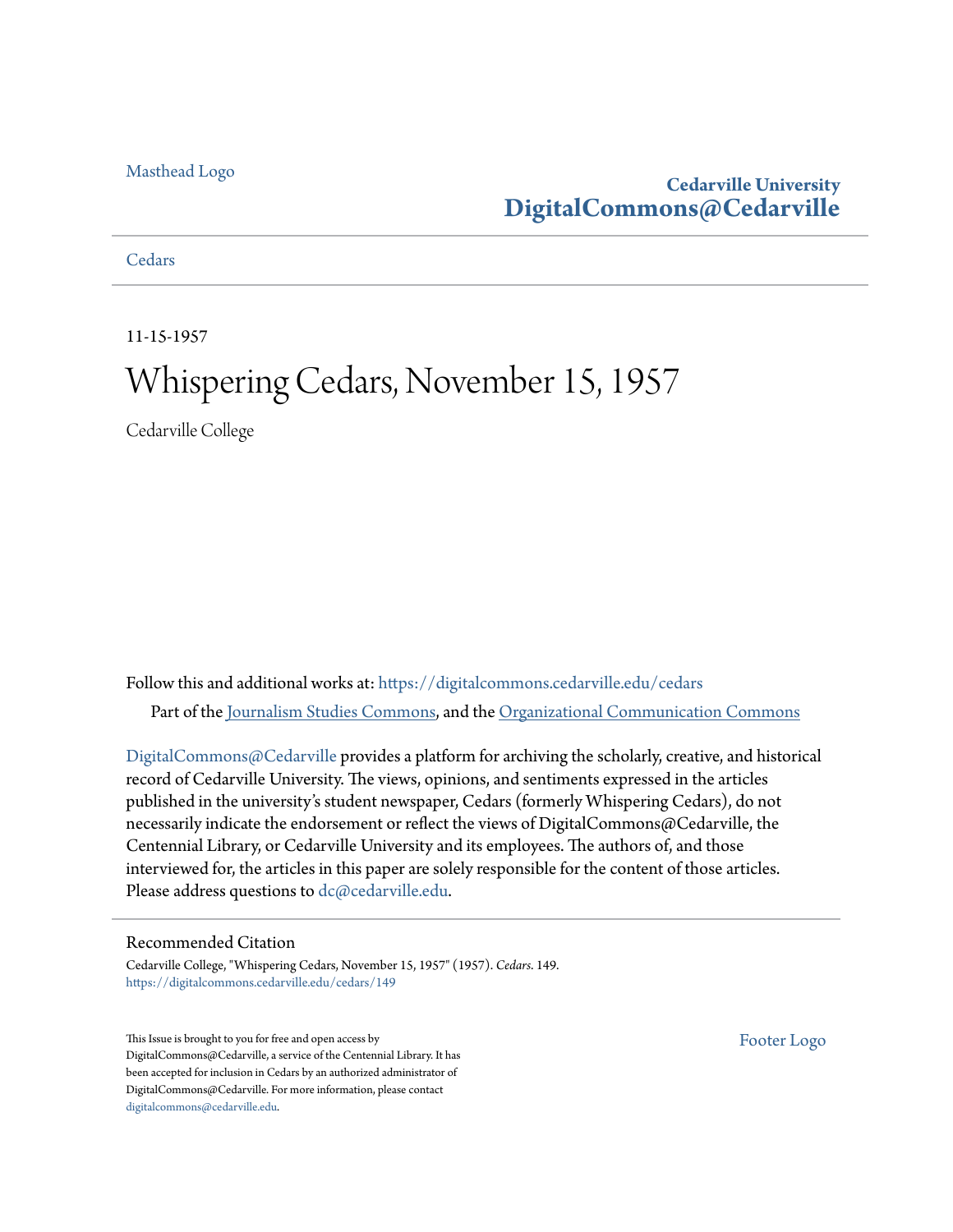## [Masthead Logo](http://www.cedarville.edu/?utm_source=digitalcommons.cedarville.edu%2Fcedars%2F149&utm_medium=PDF&utm_campaign=PDFCoverPages)

## **Cedarville University [DigitalCommons@Cedarville](https://digitalcommons.cedarville.edu?utm_source=digitalcommons.cedarville.edu%2Fcedars%2F149&utm_medium=PDF&utm_campaign=PDFCoverPages)**

## **[Cedars](https://digitalcommons.cedarville.edu/cedars?utm_source=digitalcommons.cedarville.edu%2Fcedars%2F149&utm_medium=PDF&utm_campaign=PDFCoverPages)**

11-15-1957

# Whispering Cedars, November 15, 1957

Cedarville College

Follow this and additional works at: [https://digitalcommons.cedarville.edu/cedars](https://digitalcommons.cedarville.edu/cedars?utm_source=digitalcommons.cedarville.edu%2Fcedars%2F149&utm_medium=PDF&utm_campaign=PDFCoverPages) Part of the [Journalism Studies Commons](http://network.bepress.com/hgg/discipline/333?utm_source=digitalcommons.cedarville.edu%2Fcedars%2F149&utm_medium=PDF&utm_campaign=PDFCoverPages), and the [Organizational Communication Commons](http://network.bepress.com/hgg/discipline/335?utm_source=digitalcommons.cedarville.edu%2Fcedars%2F149&utm_medium=PDF&utm_campaign=PDFCoverPages)

[DigitalCommons@Cedarville](http://digitalcommons.cedarville.edu/) provides a platform for archiving the scholarly, creative, and historical record of Cedarville University. The views, opinions, and sentiments expressed in the articles published in the university's student newspaper, Cedars (formerly Whispering Cedars), do not necessarily indicate the endorsement or reflect the views of DigitalCommons@Cedarville, the Centennial Library, or Cedarville University and its employees. The authors of, and those interviewed for, the articles in this paper are solely responsible for the content of those articles. Please address questions to [dc@cedarville.edu.](mailto:dc@cedarville.edu)

### Recommended Citation

Cedarville College, "Whispering Cedars, November 15, 1957" (1957). *Cedars*. 149. [https://digitalcommons.cedarville.edu/cedars/149](https://digitalcommons.cedarville.edu/cedars/149?utm_source=digitalcommons.cedarville.edu%2Fcedars%2F149&utm_medium=PDF&utm_campaign=PDFCoverPages)

This Issue is brought to you for free and open access by DigitalCommons@Cedarville, a service of the Centennial Library. It has been accepted for inclusion in Cedars by an authorized administrator of DigitalCommons@Cedarville. For more information, please contact [digitalcommons@cedarville.edu](mailto:digitalcommons@cedarville.edu).

[Footer Logo](http://www.cedarville.edu/Academics/Library.aspx?utm_source=digitalcommons.cedarville.edu%2Fcedars%2F149&utm_medium=PDF&utm_campaign=PDFCoverPages)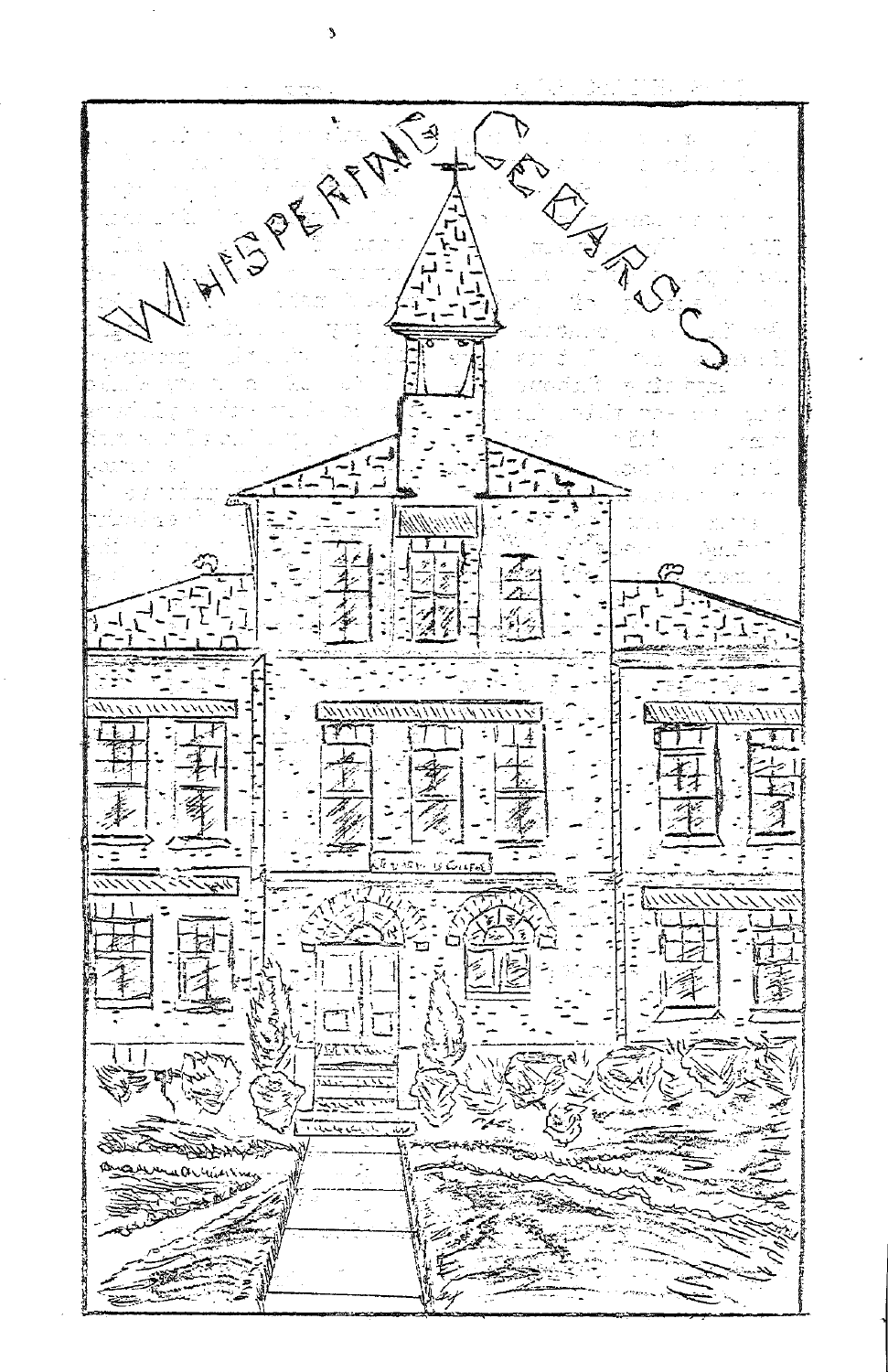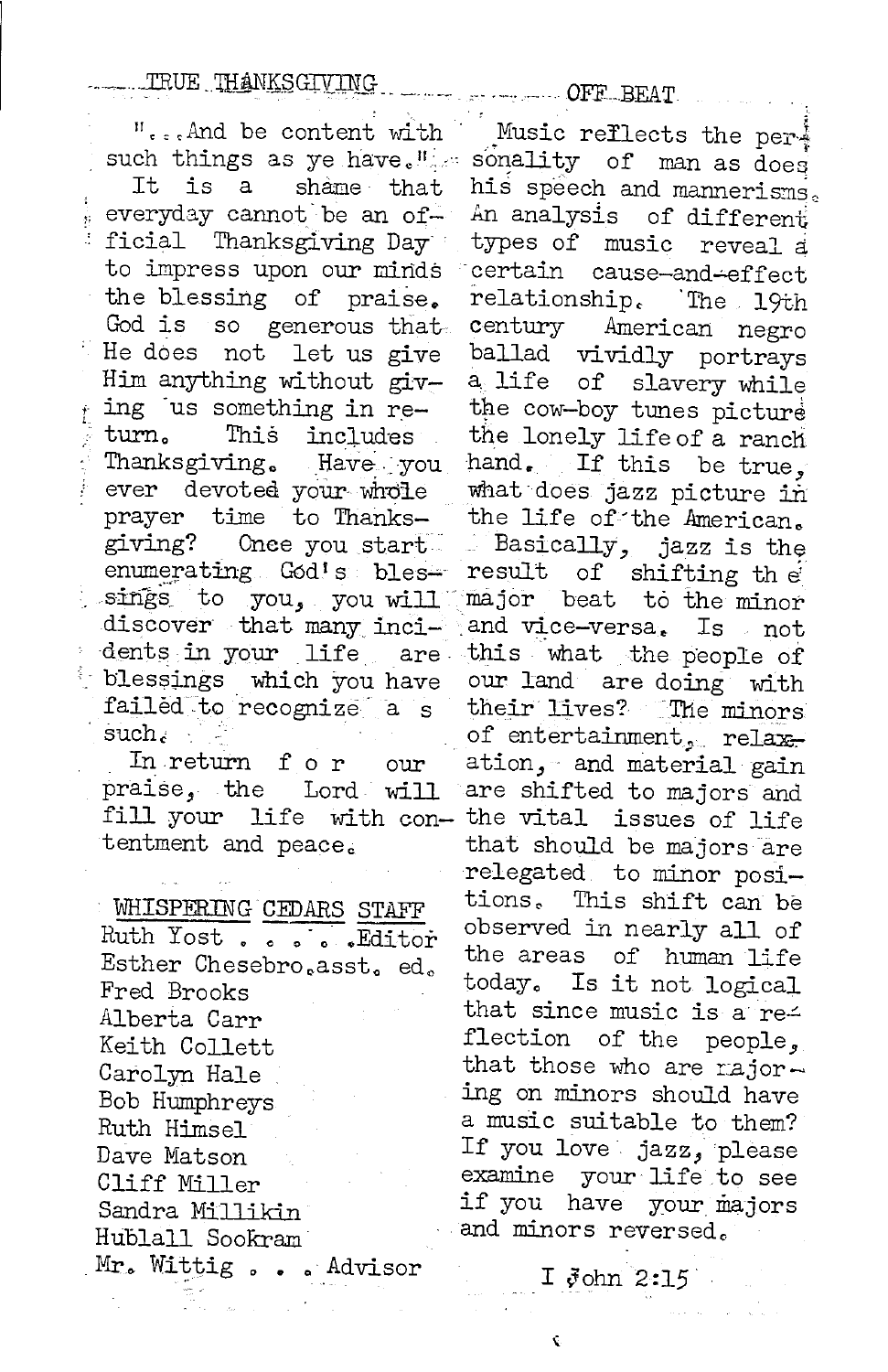"...And be content with such things as ye have." It is a shame that " everyday cannot be an official Thanksgiving Day to impress upon our minds the blessing of praise. God is so generous that. He does not let us give Him anything without giving us something in return. This includes Thanksgiving. Have you ever devoted your whole prayer time to Thanksgiving? Once you start enumerating God's blessings to you, you will discover that many incidents in your life are blessings which you have failed to recognize a s such

In return for our praise, the Lord will fill your life with contentment and peace.

WHISPERING CEDARS STAFF Ruth Yost . . . . Editor Esther Chesebro.asst. ed. Fred Brooks Alberta Carr Keith Collett Carolyn Hale Bob Humphreys Ruth Himsel Dave Matson Cliff Miller Sandra Millikin Hublall Sookram Mr. Wittig . . . Advisor

Music reflects the personality of man as does his speech and mannerisms. An analysis of different types of music reveal a certain cause-and-effect relationship. The 19th century American negro ballad vividly portrays a life of slavery while the cow-boy tunes picture the lonely life of a ranch hand. If this be true. what does jazz picture in the life of the American.  $\_$  Basically, jazz is the result of shifting the major beat to the minor and vice-versa. Is not this what the people of our land are doing with their lives? The minors of entertainment, relaxation, and material gain are shifted to majors and the vital issues of life that should be majors are relegated to minor positions. This shift can be observed in nearly all of the areas of human life today. Is it not logical that since music is a reflection of the people, that those who are rajoring on minors should have a music suitable to them? If you love jazz, please examine your life to see if you have your majors and minors reversed.

I John  $2:15$ 

¢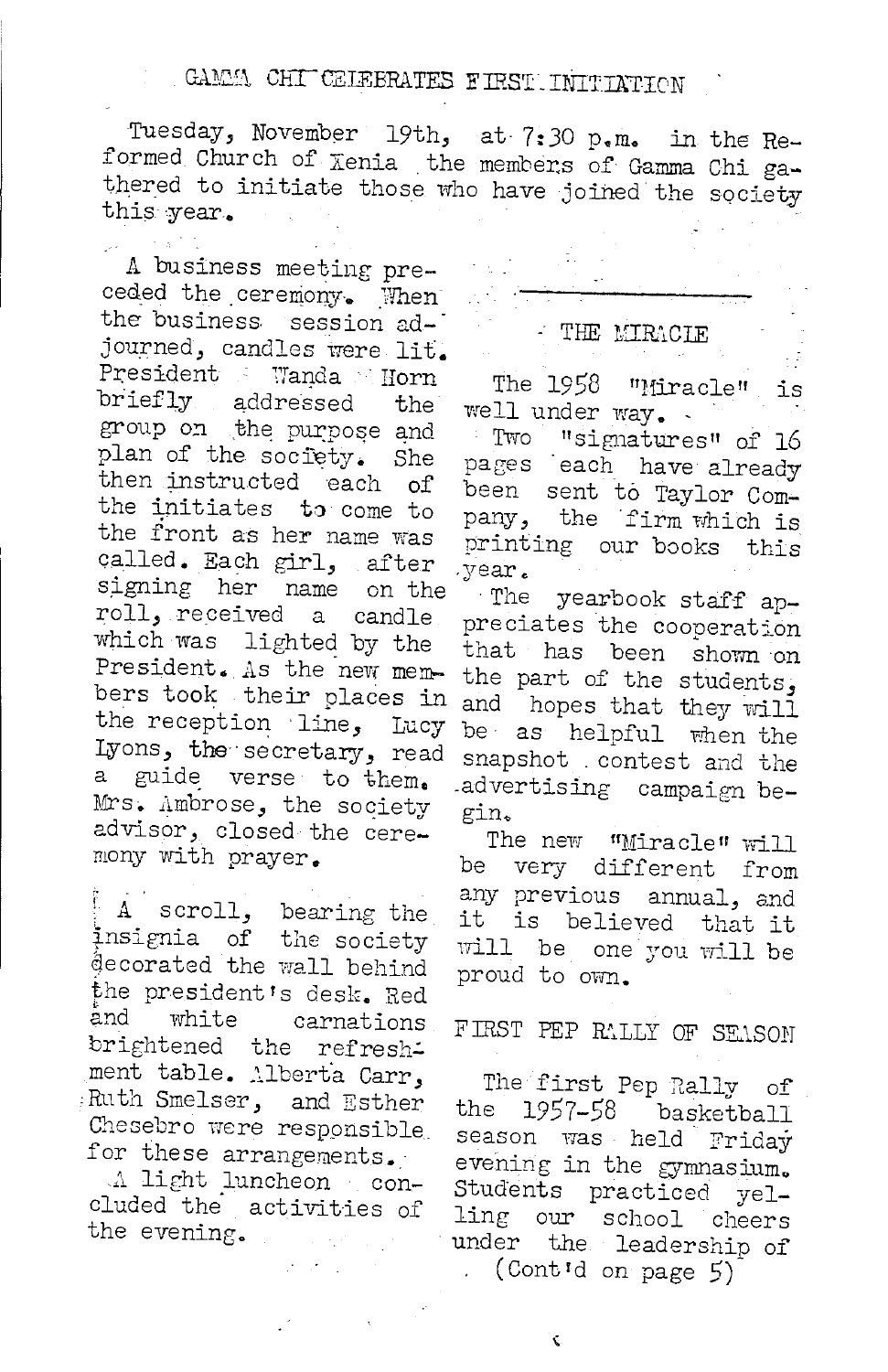## GAMM CHI CELEBRATES FIRST INITIATION

Tuesday, November 19th, at 7:30 p.m. in the Reformed Church of Xenia the members of Gamma Chi gathered to initiate those who have joined the society this year.

A business meeting preceded the ceremony. When the business session adjourned, candles were lit. President Wanda MHorn briefly addressed the group on the purpose and plan of the society. She then instructed each оf the initiates to come to the front as her name was called. Each girl, after signing her name on the roll, received a candle which was lighted by the President. As the new members took their places in the reception line, Lucy Lyons, the secretary, read guide verse to them. a. Mrs. Ambrose, the society advisor, closed the ceremony with prayer.

 $\int A$  scroll, bearing the insignia of the society decorated the wall behind the president's desk. Red and white carnations brightened the refreshment table. Alberta Carr, Ruth Smelser, and Esther Chesebro were responsible for these arrangements.

A light luncheon concluded the activities of the evening.

#### THE MIRACIE

The 1958 "Miracle" is well under way. .

Two "signatures" of 16 pages each have already been sent to Taylor Company, the firm which is printing our books this year.

The yearbook staff appreciates the cooperation that has been shown on the part of the students. and hopes that they will be as helpful when the snapshot . contest and the advertising campaign begin.

The new "Miracle" will be very different from any previous annual, and it is believed that it will be one you will be proud to own.

## FIRST PEP RALLY OF SEASON

The first Pep Rally of the 1957-58 basketball season was held Friday evening in the gymnasium. Students practiced yelling our school cheers under the leadership of (Cont'd on page 5)  $\mathbf{r}$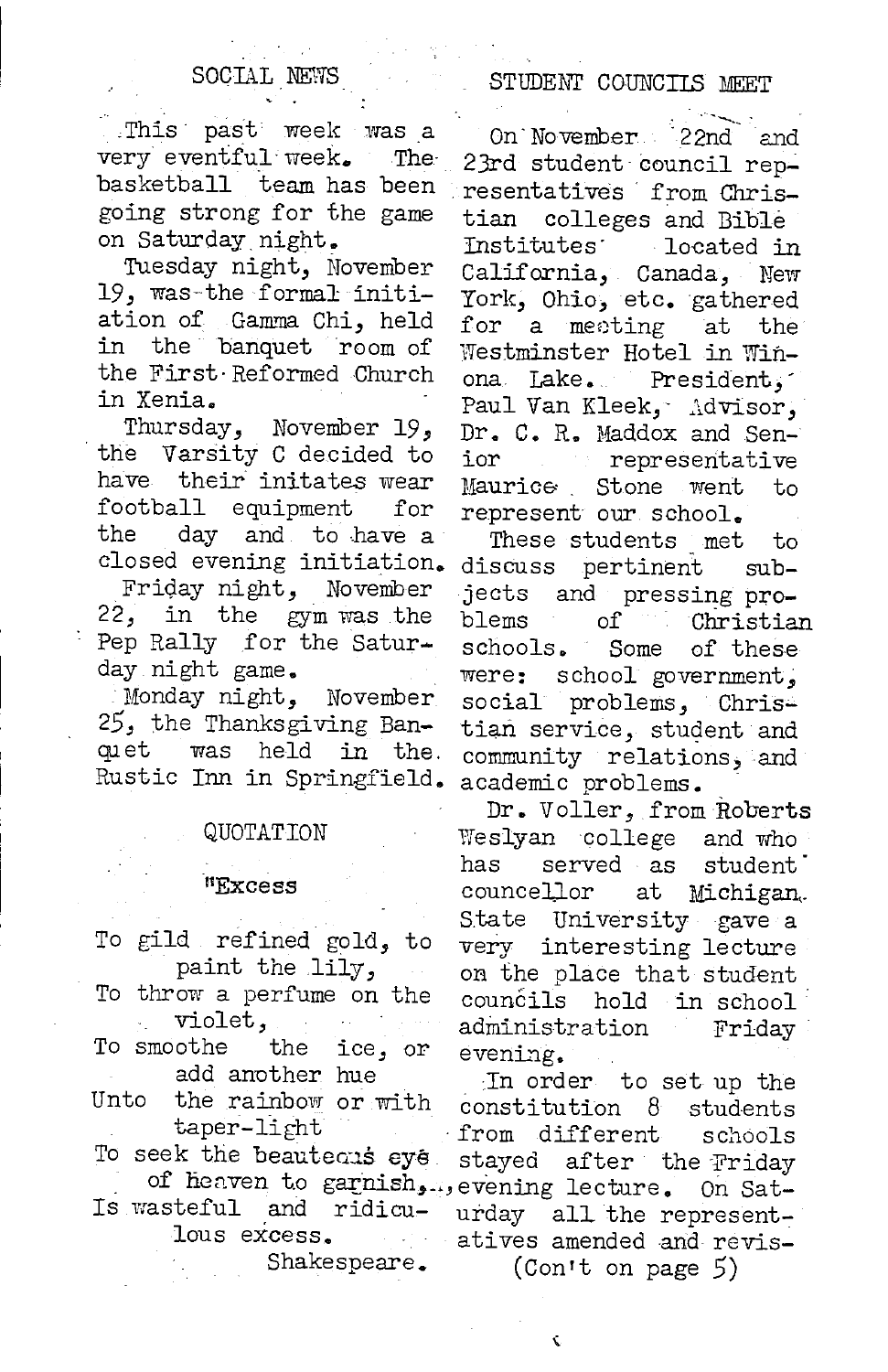, This past· week was a very eventful week. The basketball team has been going strong for the game on Saturday night.

Tuesday night, November 19, was-the formal initiation of Gamma Chi, held in the banquet room of the First-Reformed Church in Xenia.

Thursday, November 19, the Varsity C decided to have their initates wear football equipment for the day and to have a closed evening initiation.

Frigay night, November <sup>2</sup>2, in the gym was the Pep Rally for the Saturday night game.

Monday night, November 25, the Thanksgiving Bancµ et was held in the. Rustic Inn in Springfield.

#### QUOTATION

#### nExcess

violet, administration Friday<br>To smoothe the ice, or evening.<br>add another hue In order to set up the<br>Unto the rainbow or with constitution 8 students<br>taper-light from different schools taper-light from different schools<br>To seek the beautecus eye stayed after the Friday<br>of heaven to garnish,...evening lecture. On Sat-<br>Is wasteful and ridicu- urday all the represent-<br>lous excess. atives amended and revis-<br>

#### STUDENT COUNCILS MEET

on November 22nd and 23rd student council rep~ resentatives from Christian colleges and Bible Institutes· located in California, Canada, New<br>York, Ohio, etc. gathered for a meeting at the Westminster Hotel in Winona Lake. President, Paul Van Kleek, Advisor, Dr. C. R. Maddox and Senior representative Maurie& Stone went to represent our school.

These students met to discuss pertinent subjects and pressing pro-<br>blems of Christian schools. Some of these were: school government, social problems, Chris~ tian service, student and community relations; and academic problems.

Dr. Voller, from Roberts Weslyan college and who<br>has served as student Excess<br>
councellor at Michigan,<br>
To gild refined gold, to very interesting lecture<br>
paint the lily, on the place that student<br>
To throw a perfume on the councils hold in school<br>violet,<br>
administration Friday

(Con't on page  $5$ )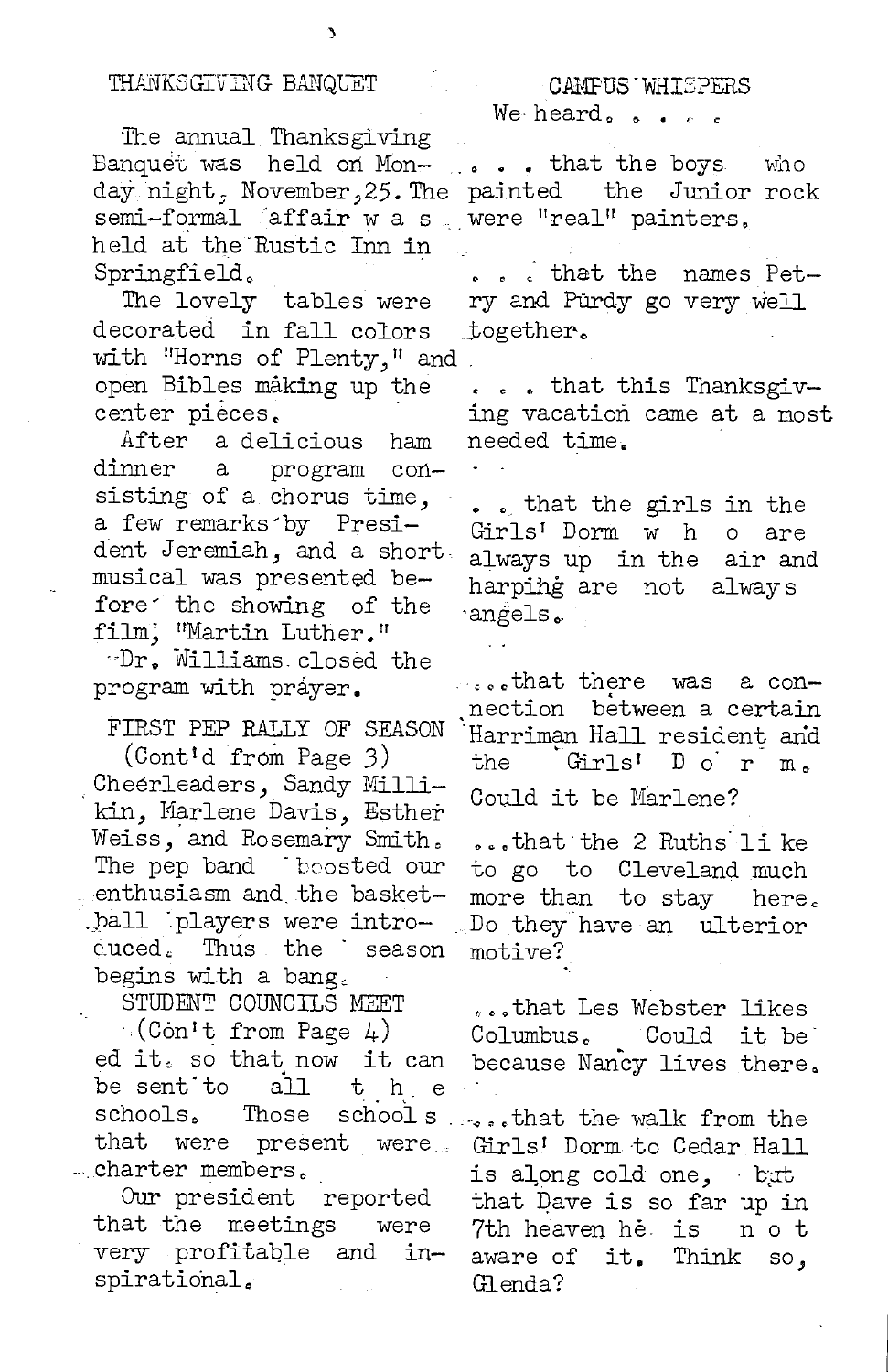The annual Thanksgiving Banquet was held on Mon- . . . that the boys who semi-formal affair w a s were "real" painters. held at the Rustic Inn in Springfield.

The lovely tables were decorated in fall colors with "Horns of Plenty," and open Bibles måking up the center pieces.

After a delicious ham dinner a program consisting of a chorus time. a few remarks by President Jeremiah, and a short musical was presented before the showing of the film, "Martin Luther."

"Dr. Williams closed the program with práyer.

FIRST PEP RALLY OF SEASON

(Cont'd from Page 3) Cheerleaders, Sandy Millikin, Marlene Davis, Esther Weiss, and Rosemary Smith. The pep band beosted our enthusiasm and the baskethall players were introduced. Thus the season begins with a bang.

STUDENT COUNCILLET (CONT of From Page 4) ed it. so that now it can be sent to all t he schools. Those schools ....that the walk from the that were present were... ... charter members.

Our president reported that the meetings were very profitable and inspirational.

We heard....

day night, November, 25. The painted the Junior rock

... that the names Petry and Purdy go very well together.

... that this Thanksgiving vacation came at a most needed time.

.. that the girls in the Girls' Dorm w h o are always up in the air and harping are not always ∙angels.

....that there was a connection between a certain Harriman Hall resident and the Girls' Dor  $m<sub>0</sub>$ Could it be Marlene?

...that the 2 Ruths like to go to Cleveland much more than to stay here. Do they have an ulterior motive?

...that Les Webster likes Columbus. Could it be because Nancy lives there.

Girls' Dorm to Cedar Hall is along cold one, but that Dave is so far up in 7th heaven he is not aware of it. Think  $SO<sub>9</sub>$ Glenda?